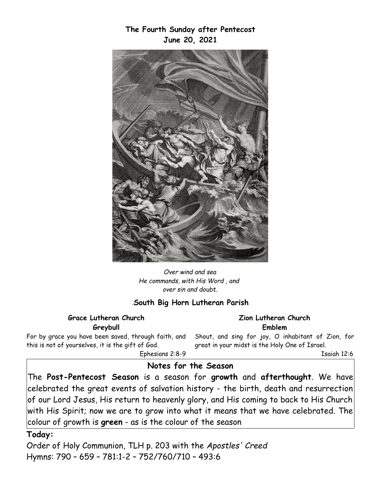*Over wind and sea He commands, with His Word , and over sin and doubt.*

## *.***South Big Horn Lutheran Parish**

#### **Grace Lutheran Church Greybull**

For by grace you have been saved, through faith, and this is not of yourselves, it is the gift of God. Ephesians 2:8-9

Shout, and sing for joy, O inhabitant of Zion, for great in your midst is the Holy One of Israel.

**Zion Lutheran Church Emblem**

Isaiah 12:6

## **Notes for the Season**

The **Post-Pentecost Season** is a season for **growth** and **afterthought**. We have celebrated the great events of salvation history - the birth, death and resurrection of our Lord Jesus, His return to heavenly glory, and His coming to back to His Church with His Spirit; now we are to grow into what it means that we have celebrated. The colour of growth is **green** - as is the colour of the season

#### **Today:**

Order of Holy Communion, TLH p. 203 with the *Apostles' Creed*  Hymns: 790 – 659 – 781:1-2 – 752/760/710 – 493:6

# **The Fourth Sunday after Pentecost June 20, 2021**

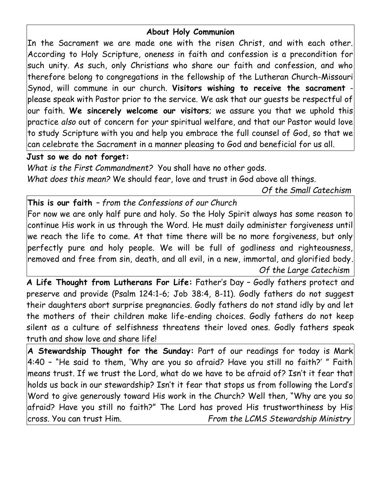# **About Holy Communion**

In the Sacrament we are made one with the risen Christ, and with each other. According to Holy Scripture, oneness in faith and confession is a precondition for such unity. As such, only Christians who share our faith and confession, and who therefore belong to congregations in the fellowship of the Lutheran Church-Missouri Synod, will commune in our church. **Visitors wishing to receive the sacrament** please speak with Pastor prior to the service. We ask that our guests be respectful of our faith. **We sincerely welcome our visitors**; we assure you that we uphold this practice *also* out of concern for *your* spiritual welfare, and that our Pastor would love to study Scripture with you and help you embrace the full counsel of God, so that we can celebrate the Sacrament in a manner pleasing to God and beneficial for us all.

## **Just so we do not forget:**

*What is the First Commandment?* You shall have no other gods. *What does this mean?* We should fear, love and trust in God above all things.

*Of the Small Catechism*

**This is our faith** *– from the Confessions of our Church*

For now we are only half pure and holy. So the Holy Spirit always has some reason to continue His work in us through the Word. He must daily administer forgiveness until we reach the life to come. At that time there will be no more forgiveness, but only perfectly pure and holy people. We will be full of godliness and righteousness, removed and free from sin, death, and all evil, in a new, immortal, and glorified body*. Of the Large Catechism*

**A Life Thought from Lutherans For Life:** Father's Day – Godly fathers protect and preserve and provide (Psalm 124:1-6; Job 38:4, 8-11). Godly fathers do not suggest their daughters abort surprise pregnancies. Godly fathers do not stand idly by and let the mothers of their children make life-ending choices. Godly fathers do not keep silent as a culture of selfishness threatens their loved ones. Godly fathers speak truth and show love and share life!

**A Stewardship Thought for the Sunday:** Part of our readings for today is Mark 4:40 – "He said to them, 'Why are you so afraid? Have you still no faith?' " Faith means trust. If we trust the Lord, what do we have to be afraid of? Isn't it fear that holds us back in our stewardship? Isn't it fear that stops us from following the Lord's Word to give generously toward His work in the Church? Well then, "Why are you so afraid? Have you still no faith?" The Lord has proved His trustworthiness by His cross. You can trust Him. *From the LCMS Stewardship Ministry*